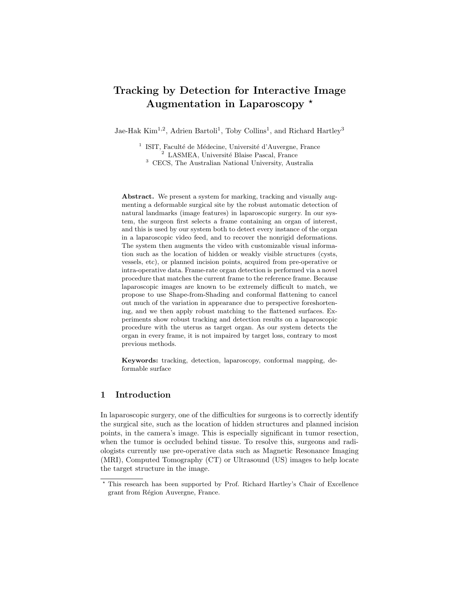# Tracking by Detection for Interactive Image Augmentation in Laparoscopy ?

Jae-Hak Kim<sup>1,2</sup>, Adrien Bartoli<sup>1</sup>, Toby Collins<sup>1</sup>, and Richard Hartley<sup>3</sup>

<sup>1</sup> ISIT, Faculté de Médecine, Université d'Auvergne, France <sup>2</sup> LASMEA, Université Blaise Pascal, France <sup>3</sup> CECS, The Australian National University, Australia

Abstract. We present a system for marking, tracking and visually augmenting a deformable surgical site by the robust automatic detection of natural landmarks (image features) in laparoscopic surgery. In our system, the surgeon first selects a frame containing an organ of interest, and this is used by our system both to detect every instance of the organ in a laparoscopic video feed, and to recover the nonrigid deformations. The system then augments the video with customizable visual information such as the location of hidden or weakly visible structures (cysts, vessels, etc), or planned incision points, acquired from pre-operative or intra-operative data. Frame-rate organ detection is performed via a novel procedure that matches the current frame to the reference frame. Because laparoscopic images are known to be extremely difficult to match, we propose to use Shape-from-Shading and conformal flattening to cancel out much of the variation in appearance due to perspective foreshortening, and we then apply robust matching to the flattened surfaces. Experiments show robust tracking and detection results on a laparoscopic procedure with the uterus as target organ. As our system detects the organ in every frame, it is not impaired by target loss, contrary to most previous methods.

Keywords: tracking, detection, laparoscopy, conformal mapping, deformable surface

### 1 Introduction

In laparoscopic surgery, one of the difficulties for surgeons is to correctly identify the surgical site, such as the location of hidden structures and planned incision points, in the camera's image. This is especially significant in tumor resection, when the tumor is occluded behind tissue. To resolve this, surgeons and radiologists currently use pre-operative data such as Magnetic Resonance Imaging (MRI), Computed Tomography (CT) or Ultrasound (US) images to help locate the target structure in the image.

<sup>?</sup> This research has been supported by Prof. Richard Hartley's Chair of Excellence grant from Région Auvergne, France.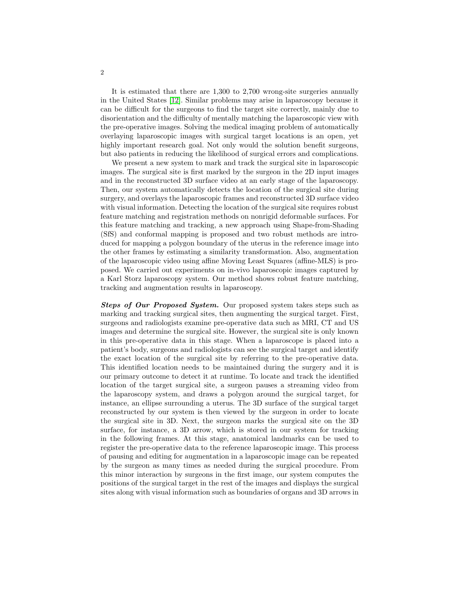It is estimated that there are 1,300 to 2,700 wrong-site surgeries annually in the United States [\[12\]](#page-9-0). Similar problems may arise in laparoscopy because it can be difficult for the surgeons to find the target site correctly, mainly due to disorientation and the difficulty of mentally matching the laparoscopic view with the pre-operative images. Solving the medical imaging problem of automatically overlaying laparoscopic images with surgical target locations is an open, yet highly important research goal. Not only would the solution benefit surgeons, but also patients in reducing the likelihood of surgical errors and complications.

We present a new system to mark and track the surgical site in laparoscopic images. The surgical site is first marked by the surgeon in the 2D input images and in the reconstructed 3D surface video at an early stage of the laparoscopy. Then, our system automatically detects the location of the surgical site during surgery, and overlays the laparoscopic frames and reconstructed 3D surface video with visual information. Detecting the location of the surgical site requires robust feature matching and registration methods on nonrigid deformable surfaces. For this feature matching and tracking, a new approach using Shape-from-Shading (SfS) and conformal mapping is proposed and two robust methods are introduced for mapping a polygon boundary of the uterus in the reference image into the other frames by estimating a similarity transformation. Also, augmentation of the laparoscopic video using affine Moving Least Squares (affine-MLS) is proposed. We carried out experiments on in-vivo laparoscopic images captured by a Karl Storz laparoscopy system. Our method shows robust feature matching, tracking and augmentation results in laparoscopy.

Steps of Our Proposed System. Our proposed system takes steps such as marking and tracking surgical sites, then augmenting the surgical target. First, surgeons and radiologists examine pre-operative data such as MRI, CT and US images and determine the surgical site. However, the surgical site is only known in this pre-operative data in this stage. When a laparoscope is placed into a patient's body, surgeons and radiologists can see the surgical target and identify the exact location of the surgical site by referring to the pre-operative data. This identified location needs to be maintained during the surgery and it is our primary outcome to detect it at runtime. To locate and track the identified location of the target surgical site, a surgeon pauses a streaming video from the laparoscopy system, and draws a polygon around the surgical target, for instance, an ellipse surrounding a uterus. The 3D surface of the surgical target reconstructed by our system is then viewed by the surgeon in order to locate the surgical site in 3D. Next, the surgeon marks the surgical site on the 3D surface, for instance, a 3D arrow, which is stored in our system for tracking in the following frames. At this stage, anatomical landmarks can be used to register the pre-operative data to the reference laparoscopic image. This process of pausing and editing for augmentation in a laparoscopic image can be repeated by the surgeon as many times as needed during the surgical procedure. From this minor interaction by surgeons in the first image, our system computes the positions of the surgical target in the rest of the images and displays the surgical sites along with visual information such as boundaries of organs and 3D arrows in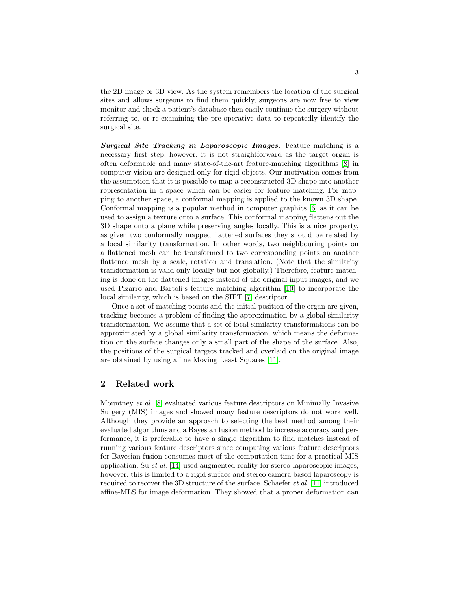the 2D image or 3D view. As the system remembers the location of the surgical sites and allows surgeons to find them quickly, surgeons are now free to view monitor and check a patient's database then easily continue the surgery without referring to, or re-examining the pre-operative data to repeatedly identify the surgical site.

Surgical Site Tracking in Laparoscopic Images. Feature matching is a necessary first step, however, it is not straightforward as the target organ is often deformable and many state-of-the-art feature-matching algorithms [\[8\]](#page-9-1) in computer vision are designed only for rigid objects. Our motivation comes from the assumption that it is possible to map a reconstructed 3D shape into another representation in a space which can be easier for feature matching. For mapping to another space, a conformal mapping is applied to the known 3D shape. Conformal mapping is a popular method in computer graphics [\[6\]](#page-9-2) as it can be used to assign a texture onto a surface. This conformal mapping flattens out the 3D shape onto a plane while preserving angles locally. This is a nice property, as given two conformally mapped flattened surfaces they should be related by a local similarity transformation. In other words, two neighbouring points on a flattened mesh can be transformed to two corresponding points on another flattened mesh by a scale, rotation and translation. (Note that the similarity transformation is valid only locally but not globally.) Therefore, feature matching is done on the flattened images instead of the original input images, and we used Pizarro and Bartoli's feature matching algorithm [\[10\]](#page-9-3) to incorporate the local similarity, which is based on the SIFT [\[7\]](#page-9-4) descriptor.

Once a set of matching points and the initial position of the organ are given, tracking becomes a problem of finding the approximation by a global similarity transformation. We assume that a set of local similarity transformations can be approximated by a global similarity transformation, which means the deformation on the surface changes only a small part of the shape of the surface. Also, the positions of the surgical targets tracked and overlaid on the original image are obtained by using affine Moving Least Squares [\[11\]](#page-9-5).

### 2 Related work

Mountney et al. [\[8\]](#page-9-1) evaluated various feature descriptors on Minimally Invasive Surgery (MIS) images and showed many feature descriptors do not work well. Although they provide an approach to selecting the best method among their evaluated algorithms and a Bayesian fusion method to increase accuracy and performance, it is preferable to have a single algorithm to find matches instead of running various feature descriptors since computing various feature descriptors for Bayesian fusion consumes most of the computation time for a practical MIS application. Su et al. [\[14\]](#page-9-6) used augmented reality for stereo-laparoscopic images, however, this is limited to a rigid surface and stereo camera based laparoscopy is required to recover the 3D structure of the surface. Schaefer et al. [\[11\]](#page-9-5) introduced affine-MLS for image deformation. They showed that a proper deformation can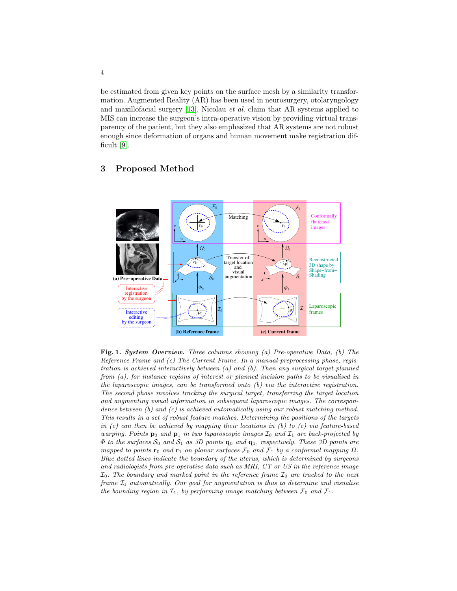be estimated from given key points on the surface mesh by a similarity transformation. Augmented Reality (AR) has been used in neurosurgery, otolaryngology and maxillofacial surgery [\[13\]](#page-9-7). Nicolau et al. claim that AR systems applied to MIS can increase the surgeon's intra-operative vision by providing virtual transparency of the patient, but they also emphasized that AR systems are not robust enough since deformation of organs and human movement make registration difficult [\[9\]](#page-9-8).

## 3 Proposed Method



<span id="page-3-0"></span>Fig. 1. System Overview. Three columns showing (a) Pre-operative Data, (b) The Reference Frame and (c) The Current Frame. In a manual-preprocessing phase, registration is achieved interactively between (a) and (b). Then any surgical target planned from (a), for instance regions of interest or planned incision paths to be visualised in the laparoscopic images, can be transformed onto (b) via the interactive registration. The second phase involves tracking the surgical target, transferring the target location and augmenting visual information in subsequent laparoscopic images. The correspondence between (b) and (c) is achieved automatically using our robust matching method. This results in a set of robust feature matches. Determining the positions of the targets in  $(c)$  can then be achieved by mapping their locations in  $(b)$  to  $(c)$  via feature-based warping. Points  $\mathbf{p}_0$  and  $\mathbf{p}_1$  in two laparoscopic images  $\mathcal{I}_0$  and  $\mathcal{I}_1$  are back-projected by  $\Phi$  to the surfaces  $S_0$  and  $S_1$  as 3D points  $\mathbf{q}_0$  and  $\mathbf{q}_1$ , respectively. These 3D points are mapped to points  $\mathbf{r}_0$  and  $\mathbf{r}_1$  on planar surfaces  $\mathcal{F}_0$  and  $\mathcal{F}_1$  by a conformal mapping  $\Omega$ . Blue dotted lines indicate the boundary of the uterus, which is determined by surgeons and radiologists from pre-operative data such as MRI, CT or US in the reference image  $I_0$ . The boundary and marked point in the reference frame  $I_0$  are tracked to the next frame  $\mathcal{I}_1$  automatically. Our goal for augmentation is thus to determine and visualise the bounding region in  $\mathcal{I}_1$ , by performing image matching between  $\mathcal{F}_0$  and  $\mathcal{F}_1$ .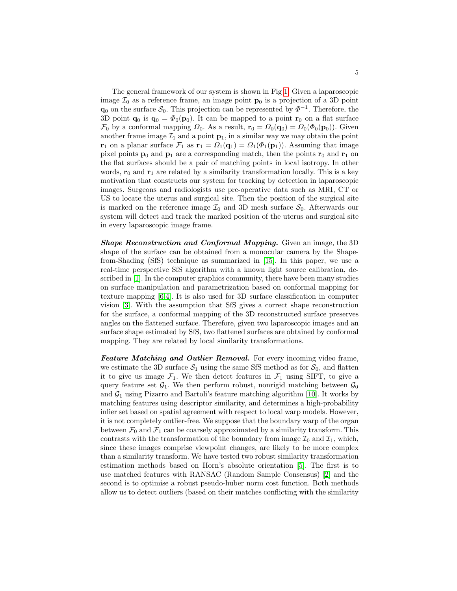The general framework of our system is shown in Fig [1.](#page-3-0) Given a laparoscopic image  $\mathcal{I}_0$  as a reference frame, an image point  $\mathbf{p}_0$  is a projection of a 3D point  $\mathbf{q}_0$  on the surface  $\mathcal{S}_0$ . This projection can be represented by  $\Phi^{-1}$ . Therefore, the 3D point  $\mathbf{q}_0$  is  $\mathbf{q}_0 = \Phi_0(\mathbf{p}_0)$ . It can be mapped to a point  $\mathbf{r}_0$  on a flat surface  $\mathcal{F}_0$  by a conformal mapping  $\Omega_0$ . As a result,  $\mathbf{r}_0 = \Omega_0(\mathbf{q}_0) = \Omega_0(\Phi_0(\mathbf{p}_0))$ . Given another frame image  $\mathcal{I}_1$  and a point  $\mathbf{p}_1$ , in a similar way we may obtain the point  $\mathbf{r}_1$  on a planar surface  $\mathcal{F}_1$  as  $\mathbf{r}_1 = \Omega_1(\mathbf{q}_1) = \Omega_1(\Phi_1(\mathbf{p}_1))$ . Assuming that image pixel points  $\mathbf{p}_0$  and  $\mathbf{p}_1$  are a corresponding match, then the points  $\mathbf{r}_0$  and  $\mathbf{r}_1$  on the flat surfaces should be a pair of matching points in local isotropy. In other words,  $\mathbf{r}_0$  and  $\mathbf{r}_1$  are related by a similarity transformation locally. This is a key motivation that constructs our system for tracking by detection in laparoscopic images. Surgeons and radiologists use pre-operative data such as MRI, CT or US to locate the uterus and surgical site. Then the position of the surgical site is marked on the reference image  $\mathcal{I}_0$  and 3D mesh surface  $\mathcal{S}_0$ . Afterwards our system will detect and track the marked position of the uterus and surgical site in every laparoscopic image frame.

Shape Reconstruction and Conformal Mapping. Given an image, the 3D shape of the surface can be obtained from a monocular camera by the Shapefrom-Shading (SfS) technique as summarized in [\[15\]](#page-9-9). In this paper, we use a real-time perspective SfS algorithm with a known light source calibration, described in [\[1\]](#page-9-10). In the computer graphics community, there have been many studies on surface manipulation and parametrization based on conformal mapping for texture mapping [\[6](#page-9-2)[,4\]](#page-9-11). It is also used for 3D surface classification in computer vision [\[3\]](#page-9-12). With the assumption that SfS gives a correct shape reconstruction for the surface, a conformal mapping of the 3D reconstructed surface preserves angles on the flattened surface. Therefore, given two laparoscopic images and an surface shape estimated by SfS, two flattened surfaces are obtained by conformal mapping. They are related by local similarity transformations.

Feature Matching and Outlier Removal. For every incoming video frame, we estimate the 3D surface  $S_1$  using the same SfS method as for  $S_0$ , and flatten it to give us image  $\mathcal{F}_1$ . We then detect features in  $\mathcal{F}_1$  using SIFT, to give a query feature set  $\mathcal{G}_1$ . We then perform robust, nonrigid matching between  $\mathcal{G}_0$ and  $G_1$  using Pizarro and Bartoli's feature matching algorithm [\[10\]](#page-9-3). It works by matching features using descriptor similarity, and determines a high-probability inlier set based on spatial agreement with respect to local warp models. However, it is not completely outlier-free. We suppose that the boundary warp of the organ between  $\mathcal{F}_0$  and  $\mathcal{F}_1$  can be coarsely approximated by a similarity transform. This contrasts with the transformation of the boundary from image  $\mathcal{I}_0$  and  $\mathcal{I}_1$ , which, since these images comprise viewpoint changes, are likely to be more complex than a similarity transform. We have tested two robust similarity transformation estimation methods based on Horn's absolute orientation [\[5\]](#page-9-13). The first is to use matched features with RANSAC (Random Sample Consensus) [\[2\]](#page-9-14) and the second is to optimise a robust pseudo-huber norm cost function. Both methods allow us to detect outliers (based on their matches conflicting with the similarity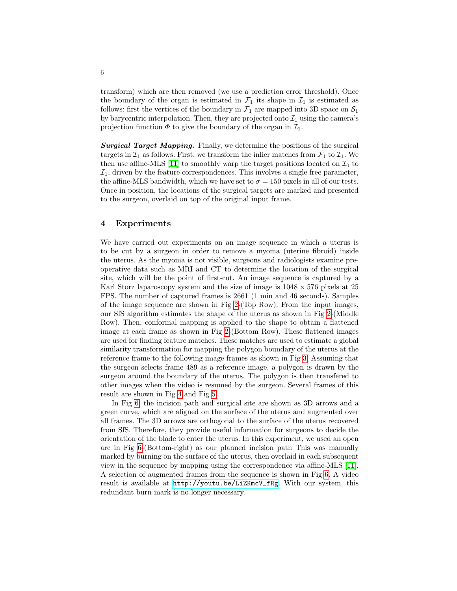transform) which are then removed (we use a prediction error threshold). Once the boundary of the organ is estimated in  $\mathcal{F}_1$  its shape in  $\mathcal{I}_1$  is estimated as follows: first the vertices of the boundary in  $\mathcal{F}_1$  are mapped into 3D space on  $\mathcal{S}_1$ by barycentric interpolation. Then, they are projected onto  $\mathcal{I}_1$  using the camera's projection function  $\Phi$  to give the boundary of the organ in  $\mathcal{I}_1$ .

**Surgical Target Mapping.** Finally, we determine the positions of the surgical targets in  $\mathcal{I}_1$  as follows. First, we transform the inlier matches from  $\mathcal{F}_1$  to  $\mathcal{I}_1$ . We then use affine-MLS [\[11\]](#page-9-5) to smoothly warp the target positions located on  $\mathcal{I}_0$  to  $\mathcal{I}_1$ , driven by the feature correspondences. This involves a single free parameter, the affine-MLS bandwidth, which we have set to  $\sigma = 150$  pixels in all of our tests. Once in position, the locations of the surgical targets are marked and presented to the surgeon, overlaid on top of the original input frame.

#### 4 Experiments

We have carried out experiments on an image sequence in which a uterus is to be cut by a surgeon in order to remove a myoma (uterine fibroid) inside the uterus. As the myoma is not visible, surgeons and radiologists examine preoperative data such as MRI and CT to determine the location of the surgical site, which will be the point of first-cut. An image sequence is captured by a Karl Storz laparoscopy system and the size of image is  $1048 \times 576$  pixels at 25 FPS. The number of captured frames is 2661 (1 min and 46 seconds). Samples of the image sequence are shown in Fig [2-](#page-6-0)(Top Row). From the input images, our SfS algorithm estimates the shape of the uterus as shown in Fig [2-](#page-6-0)(Middle Row). Then, conformal mapping is applied to the shape to obtain a flattened image at each frame as shown in Fig [2-](#page-6-0)(Bottom Row). These flattened images are used for finding feature matches. These matches are used to estimate a global similarity transformation for mapping the polygon boundary of the uterus at the reference frame to the following image frames as shown in Fig [3.](#page-7-0) Assuming that the surgeon selects frame 489 as a reference image, a polygon is drawn by the surgeon around the boundary of the uterus. The polygon is then transfered to other images when the video is resumed by the surgeon. Several frames of this result are shown in Fig [4](#page-7-1) and Fig [5.](#page-8-0)

In Fig [6,](#page-8-1) the incision path and surgical site are shown as 3D arrows and a green curve, which are aligned on the surface of the uterus and augmented over all frames. The 3D arrows are orthogonal to the surface of the uterus recovered from SfS. Therefore, they provide useful information for surgeons to decide the orientation of the blade to enter the uterus. In this experiment, we used an open arc in Fig [6-](#page-8-1)(Bottom-right) as our planned incision path This was manually marked by burning on the surface of the uterus, then overlaid in each subsequent view in the sequence by mapping using the correspondence via affine-MLS [\[11\]](#page-9-5). A selection of augmented frames from the sequence is shown in Fig [6.](#page-8-1) A video result is available at [http://youtu.be/LiZKmcV\\_fRg](http://youtu.be/LiZKmcV_fRg). With our system, this redundant burn mark is no longer necessary.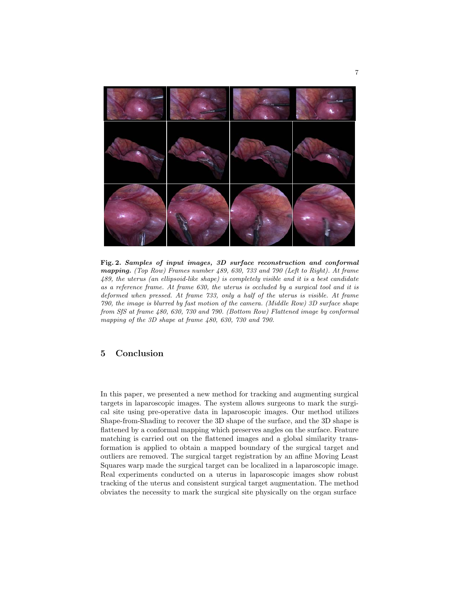

Fig. 2. Samples of input images, 3D surface reconstruction and conformal mapping. (Top Row) Frames number 489, 630, 733 and 790 (Left to Right). At frame 489, the uterus (an ellipsoid-like shape) is completely visible and it is a best candidate as a reference frame. At frame 630, the uterus is occluded by a surgical tool and it is deformed when pressed. At frame 733, only a half of the uterus is visible. At frame 790, the image is blurred by fast motion of the camera. (Middle Row) 3D surface shape from SfS at frame 480, 630, 730 and 790. (Bottom Row) Flattened image by conformal mapping of the 3D shape at frame 480, 630, 730 and 790.

### <span id="page-6-0"></span>5 Conclusion

In this paper, we presented a new method for tracking and augmenting surgical targets in laparoscopic images. The system allows surgeons to mark the surgical site using pre-operative data in laparoscopic images. Our method utilizes Shape-from-Shading to recover the 3D shape of the surface, and the 3D shape is flattened by a conformal mapping which preserves angles on the surface. Feature matching is carried out on the flattened images and a global similarity transformation is applied to obtain a mapped boundary of the surgical target and outliers are removed. The surgical target registration by an affine Moving Least Squares warp made the surgical target can be localized in a laparoscopic image. Real experiments conducted on a uterus in laparoscopic images show robust tracking of the uterus and consistent surgical target augmentation. The method obviates the necessity to mark the surgical site physically on the organ surface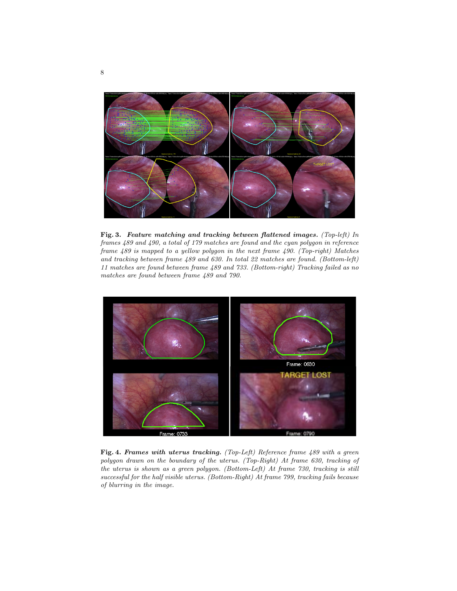

Fig. 3. Feature matching and tracking between flattened images. (Top-left) In frames 489 and 490, a total of 179 matches are found and the cyan polygon in reference frame 489 is mapped to a yellow polygon in the next frame 490. (Top-right) Matches and tracking between frame 489 and 630. In total 22 matches are found. (Bottom-left) 11 matches are found between frame 489 and 733. (Bottom-right) Tracking failed as no matches are found between frame 489 and 790.

<span id="page-7-0"></span>

<span id="page-7-1"></span>Fig. 4. Frames with uterus tracking. (Top-Left) Reference frame 489 with a green polygon drawn on the boundary of the uterus. (Top-Right) At frame 630, tracking of the uterus is shown as a green polygon. (Bottom-Left) At frame 730, tracking is still successful for the half visible uterus. (Bottom-Right) At frame 799, tracking fails because of blurring in the image.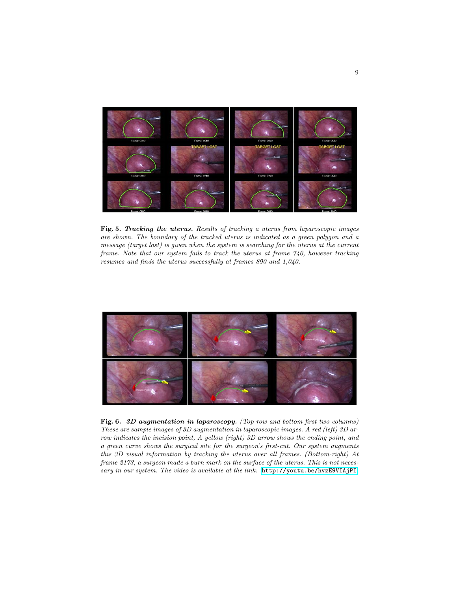

Fig. 5. Tracking the uterus. Results of tracking a uterus from laparoscopic images are shown. The boundary of the tracked uterus is indicated as a green polygon and a message (target lost) is given when the system is searching for the uterus at the current frame. Note that our system fails to track the uterus at frame 740, however tracking resumes and finds the uterus successfully at frames 890 and 1,040.

<span id="page-8-0"></span>

<span id="page-8-1"></span>Fig. 6. 3D augmentation in laparoscopy. (Top row and bottom first two columns) These are sample images of 3D augmentation in laparoscopic images. A red (left) 3D arrow indicates the incision point, A yellow (right) 3D arrow shows the ending point, and a green curve shows the surgical site for the surgeon's first-cut. Our system augments this 3D visual information by tracking the uterus over all frames. (Bottom-right) At frame 2173, a surgeon made a burn mark on the surface of the uterus. This is not necessary in our system. The video is available at the link: <http://youtu.be/hvzE9VIAjPI>.